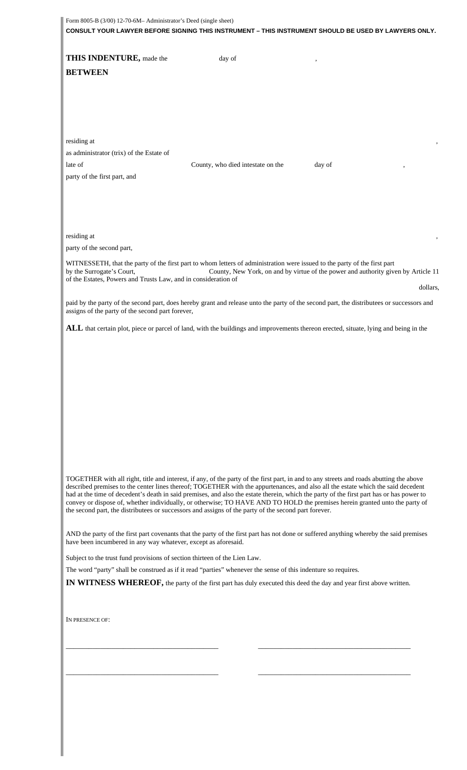| Form 8005-B (3/00) 12-70-6M- Administrator's Deed (single sheet)<br>CONSULT YOUR LAWYER BEFORE SIGNING THIS INSTRUMENT - THIS INSTRUMENT SHOULD BE USED BY LAWYERS ONLY.                                                                                                                                                                                                                                                                                                                                                                                                                                                                                       |  |  |
|----------------------------------------------------------------------------------------------------------------------------------------------------------------------------------------------------------------------------------------------------------------------------------------------------------------------------------------------------------------------------------------------------------------------------------------------------------------------------------------------------------------------------------------------------------------------------------------------------------------------------------------------------------------|--|--|
| THIS INDENTURE, made the<br>day of<br><b>BETWEEN</b>                                                                                                                                                                                                                                                                                                                                                                                                                                                                                                                                                                                                           |  |  |
|                                                                                                                                                                                                                                                                                                                                                                                                                                                                                                                                                                                                                                                                |  |  |
| residing at<br>as administrator (trix) of the Estate of<br>late of<br>County, who died intestate on the<br>day of                                                                                                                                                                                                                                                                                                                                                                                                                                                                                                                                              |  |  |
| party of the first part, and                                                                                                                                                                                                                                                                                                                                                                                                                                                                                                                                                                                                                                   |  |  |
| residing at<br>party of the second part,                                                                                                                                                                                                                                                                                                                                                                                                                                                                                                                                                                                                                       |  |  |
| WITNESSETH, that the party of the first part to whom letters of administration were issued to the party of the first part<br>by the Surrogate's Court,<br>County, New York, on and by virtue of the power and authority given by Article 11<br>of the Estates, Powers and Trusts Law, and in consideration of<br>dollars,                                                                                                                                                                                                                                                                                                                                      |  |  |
| paid by the party of the second part, does hereby grant and release unto the party of the second part, the distributees or successors and                                                                                                                                                                                                                                                                                                                                                                                                                                                                                                                      |  |  |
| assigns of the party of the second part forever,<br>ALL that certain plot, piece or parcel of land, with the buildings and improvements thereon erected, situate, lying and being in the                                                                                                                                                                                                                                                                                                                                                                                                                                                                       |  |  |
|                                                                                                                                                                                                                                                                                                                                                                                                                                                                                                                                                                                                                                                                |  |  |
| TOGETHER with all right, title and interest, if any, of the party of the first part, in and to any streets and roads abutting the above<br>described premises to the center lines thereof; TOGETHER with the appurtenances, and also all the estate which the said decedent<br>had at the time of decedent's death in said premises, and also the estate therein, which the party of the first part has or has power to<br>convey or dispose of, whether individually, or otherwise; TO HAVE AND TO HOLD the premises herein granted unto the party of<br>the second part, the distributees or successors and assigns of the party of the second part forever. |  |  |
| AND the party of the first part covenants that the party of the first part has not done or suffered anything whereby the said premises<br>have been incumbered in any way whatever, except as aforesaid.                                                                                                                                                                                                                                                                                                                                                                                                                                                       |  |  |
| Subject to the trust fund provisions of section thirteen of the Lien Law.<br>The word "party" shall be construed as if it read "parties" whenever the sense of this indenture so requires.<br><b>IN WITNESS WHEREOF</b> , the party of the first part has duly executed this deed the day and year first above written.                                                                                                                                                                                                                                                                                                                                        |  |  |
| IN PRESENCE OF:                                                                                                                                                                                                                                                                                                                                                                                                                                                                                                                                                                                                                                                |  |  |
|                                                                                                                                                                                                                                                                                                                                                                                                                                                                                                                                                                                                                                                                |  |  |
|                                                                                                                                                                                                                                                                                                                                                                                                                                                                                                                                                                                                                                                                |  |  |
|                                                                                                                                                                                                                                                                                                                                                                                                                                                                                                                                                                                                                                                                |  |  |